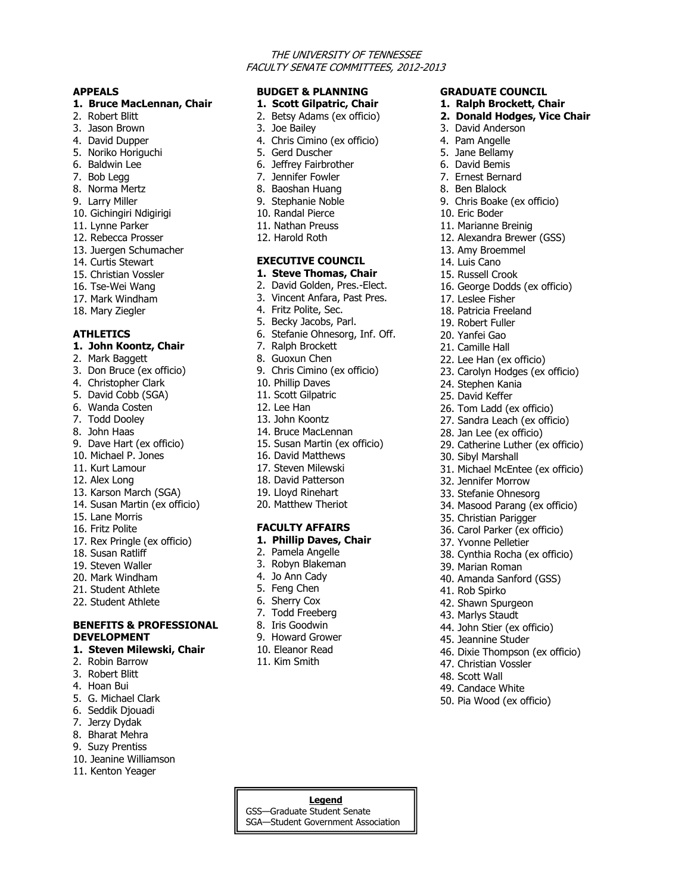#### THE UNIVERSITY OF TENNESSEE FACULTY SENATE COMMITTEES, 2012-2013

#### **APPEALS**

### **1. Bruce MacLennan, Chair**

- 2. Robert Blitt
- 3. Jason Brown
- 4. David Dupper
- 5. Noriko Horiguchi
- 6. Baldwin Lee
- 7. Bob Legg
- 8. Norma Mertz
- 9. Larry Miller
- 10. Gichingiri Ndigirigi
- 11. Lynne Parker
- 12. Rebecca Prosser
- 13. Juergen Schumacher
- 14. Curtis Stewart
- 15. Christian Vossler
- 16. Tse-Wei Wang
- 17. Mark Windham
- 18. Mary Ziegler

# **ATHLETICS**

#### **1. John Koontz, Chair**

- 2. Mark Baggett
- 3. Don Bruce (ex officio)
- 4. Christopher Clark
- 5. David Cobb (SGA)
- 6. Wanda Costen
- 7. Todd Dooley
- 8. John Haas
- 9. Dave Hart (ex officio)
- 10. Michael P. Jones
- 11. Kurt Lamour
- 12. Alex Long
- 13. Karson March (SGA)
- 14. Susan Martin (ex officio)
- 15. Lane Morris
- 16. Fritz Polite
- 17. Rex Pringle (ex officio)
- 18. Susan Ratliff
- 19. Steven Waller
- 20. Mark Windham
- 21. Student Athlete
- 22. Student Athlete

#### **BENEFITS & PROFESSIONAL DEVELOPMENT**

#### **1. Steven Milewski, Chair**

- 2. Robin Barrow
- 3. Robert Blitt
- 4. Hoan Bui
- 5. G. Michael Clark
- 6. Seddik Djouadi
- 7. Jerzy Dydak
- 8. Bharat Mehra
- 9. Suzy Prentiss
- 10. Jeanine Williamson
- 11. Kenton Yeager

# **BUDGET & PLANNING**

- **1. Scott Gilpatric, Chair**
- 2. Betsy Adams (ex officio)
- 3. Joe Bailey
- 4. Chris Cimino (ex officio)
- 5. Gerd Duscher
- 6. Jeffrey Fairbrother
- 7. Jennifer Fowler
- 8. Baoshan Huang
- 9. Stephanie Noble
- 10. Randal Pierce
- 11. Nathan Preuss
- 12. Harold Roth

# **EXECUTIVE COUNCIL**

- **1. Steve Thomas, Chair**
- 2. David Golden, Pres.-Elect.
- 3. Vincent Anfara, Past Pres.
- 4. Fritz Polite, Sec.
- 5. Becky Jacobs, Parl.
- 6. Stefanie Ohnesorg, Inf. Off.
- 7. Ralph Brockett
- 8. Guoxun Chen
- 9. Chris Cimino (ex officio)
- 10. Phillip Daves
- 11. Scott Gilpatric
- 12. Lee Han
- 13. John Koontz
- 14. Bruce MacLennan
- 15. Susan Martin (ex officio)
- 16. David Matthews 17. Steven Milewski
- 18. David Patterson
- 19. Lloyd Rinehart
- 20. Matthew Theriot

#### **FACULTY AFFAIRS**

- **1. Phillip Daves, Chair**
- 2. Pamela Angelle
- 3. Robyn Blakeman
- 4. Jo Ann Cady
- 5. Feng Chen
- 6. Sherry Cox
- 7. Todd Freeberg
- 8. Iris Goodwin 9. Howard Grower
- 10. Eleanor Read

**Legend** GSS—Graduate Student Senate SGA—Student Government Association

11. Kim Smith

#### **GRADUATE COUNCIL 1. Ralph Brockett, Chair**

9. Chris Boake (ex officio)

16. George Dodds (ex officio)

3. David Anderson 4. Pam Angelle 5. Jane Bellamy 6. David Bemis 7. Ernest Bernard 8. Ben Blalock

10. Eric Boder 11. Marianne Breinig 12. Alexandra Brewer (GSS)

13. Amy Broemmel 14. Luis Cano 15. Russell Crook

17. Leslee Fisher 18. Patricia Freeland 19. Robert Fuller 20. Yanfei Gao 21. Camille Hall 22. Lee Han (ex officio) 23. Carolyn Hodges (ex officio)

24. Stephen Kania 25. David Keffer

30. Sibyl Marshall

32. Jennifer Morrow 33. Stefanie Ohnesorg

35. Christian Parigger 36. Carol Parker (ex officio) 37. Yvonne Pelletier

39. Marian Roman

47. Christian Vossler 48. Scott Wall 49. Candace White 50. Pia Wood (ex officio)

41. Rob Spirko 42. Shawn Spurgeon 43. Marlys Staudt 44. John Stier (ex officio) 45. Jeannine Studer

26. Tom Ladd (ex officio) 27. Sandra Leach (ex officio) 28. Jan Lee (ex officio)

29. Catherine Luther (ex officio)

31. Michael McEntee (ex officio)

34. Masood Parang (ex officio)

38. Cynthia Rocha (ex officio)

46. Dixie Thompson (ex officio)

40. Amanda Sanford (GSS)

**2. Donald Hodges, Vice Chair**